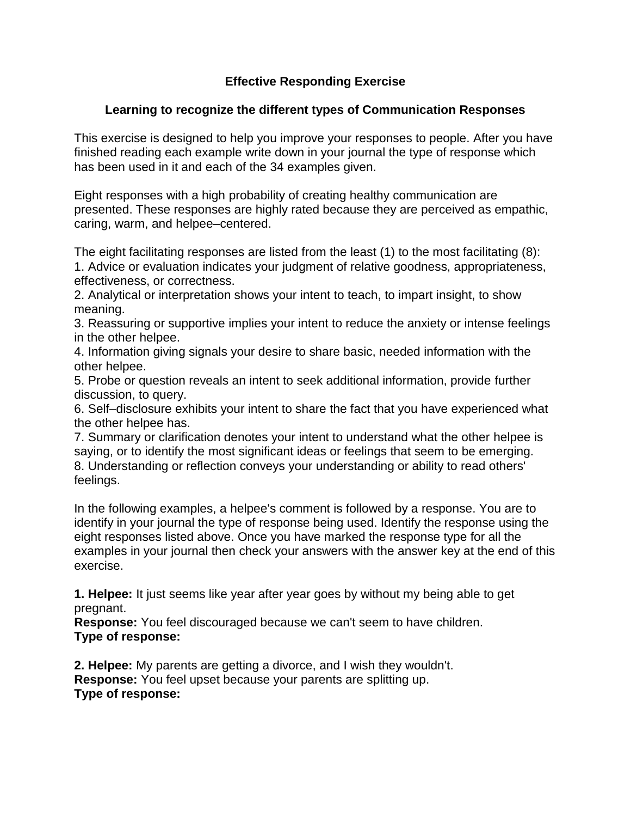## **Effective Responding Exercise**

## **Learning to recognize the different types of Communication Responses**

This exercise is designed to help you improve your responses to people. After you have finished reading each example write down in your journal the type of response which has been used in it and each of the 34 examples given.

Eight responses with a high probability of creating healthy communication are presented. These responses are highly rated because they are perceived as empathic, caring, warm, and helpee–centered.

The eight facilitating responses are listed from the least (1) to the most facilitating (8): 1. Advice or evaluation indicates your judgment of relative goodness, appropriateness, effectiveness, or correctness.

2. Analytical or interpretation shows your intent to teach, to impart insight, to show meaning.

3. Reassuring or supportive implies your intent to reduce the anxiety or intense feelings in the other helpee.

4. Information giving signals your desire to share basic, needed information with the other helpee.

5. Probe or question reveals an intent to seek additional information, provide further discussion, to query.

6. Self–disclosure exhibits your intent to share the fact that you have experienced what the other helpee has.

7. Summary or clarification denotes your intent to understand what the other helpee is saying, or to identify the most significant ideas or feelings that seem to be emerging. 8. Understanding or reflection conveys your understanding or ability to read others' feelings.

In the following examples, a helpee's comment is followed by a response. You are to identify in your journal the type of response being used. Identify the response using the eight responses listed above. Once you have marked the response type for all the examples in your journal then check your answers with the answer key at the end of this exercise.

**1. Helpee:** It just seems like year after year goes by without my being able to get pregnant.

**Response:** You feel discouraged because we can't seem to have children. **Type of response:**

**2. Helpee:** My parents are getting a divorce, and I wish they wouldn't. **Response:** You feel upset because your parents are splitting up. **Type of response:**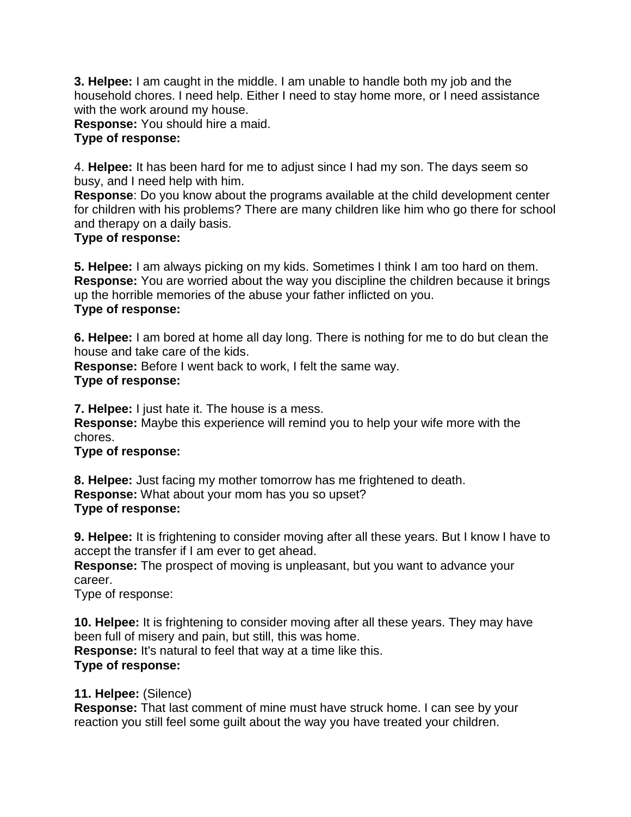**3. Helpee:** I am caught in the middle. I am unable to handle both my job and the household chores. I need help. Either I need to stay home more, or I need assistance with the work around my house.

**Response:** You should hire a maid.

## **Type of response:**

4. **Helpee:** It has been hard for me to adjust since I had my son. The days seem so busy, and I need help with him.

**Response**: Do you know about the programs available at the child development center for children with his problems? There are many children like him who go there for school and therapy on a daily basis.

## **Type of response:**

**5. Helpee:** I am always picking on my kids. Sometimes I think I am too hard on them. **Response:** You are worried about the way you discipline the children because it brings up the horrible memories of the abuse your father inflicted on you. **Type of response:**

**6. Helpee:** I am bored at home all day long. There is nothing for me to do but clean the house and take care of the kids.

**Response:** Before I went back to work, I felt the same way. **Type of response:**

**7. Helpee:** I just hate it. The house is a mess.

**Response:** Maybe this experience will remind you to help your wife more with the chores.

### **Type of response:**

**8. Helpee:** Just facing my mother tomorrow has me frightened to death. **Response:** What about your mom has you so upset? **Type of response:**

**9. Helpee:** It is frightening to consider moving after all these years. But I know I have to accept the transfer if I am ever to get ahead.

**Response:** The prospect of moving is unpleasant, but you want to advance your career.

Type of response:

**10. Helpee:** It is frightening to consider moving after all these years. They may have been full of misery and pain, but still, this was home. **Response:** It's natural to feel that way at a time like this. **Type of response:**

## **11. Helpee:** (Silence)

**Response:** That last comment of mine must have struck home. I can see by your reaction you still feel some guilt about the way you have treated your children.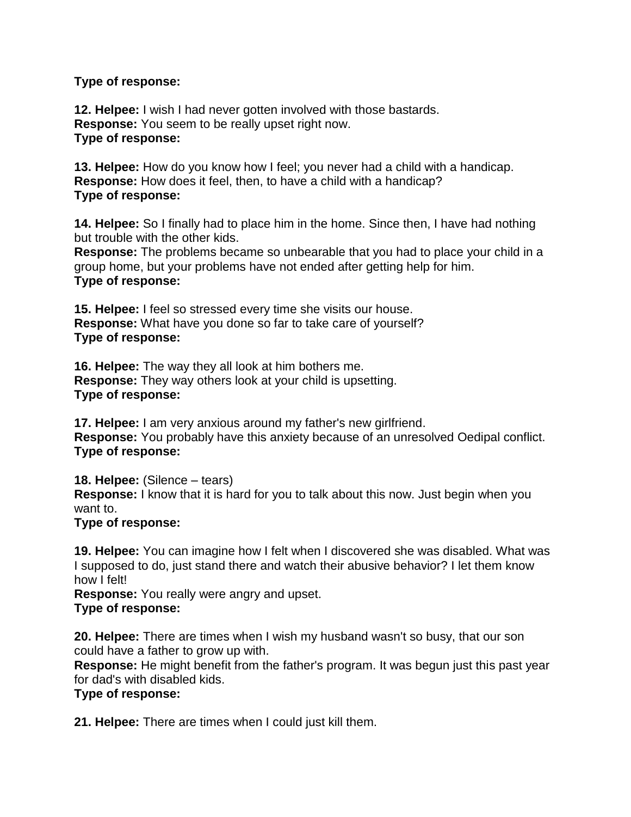#### **Type of response:**

**12. Helpee:** I wish I had never gotten involved with those bastards. **Response:** You seem to be really upset right now. **Type of response:**

**13. Helpee:** How do you know how I feel; you never had a child with a handicap. **Response:** How does it feel, then, to have a child with a handicap? **Type of response:**

**14. Helpee:** So I finally had to place him in the home. Since then, I have had nothing but trouble with the other kids.

**Response:** The problems became so unbearable that you had to place your child in a group home, but your problems have not ended after getting help for him. **Type of response:**

**15. Helpee:** I feel so stressed every time she visits our house. **Response:** What have you done so far to take care of yourself? **Type of response:**

**16. Helpee:** The way they all look at him bothers me. **Response:** They way others look at your child is upsetting. **Type of response:**

**17. Helpee:** I am very anxious around my father's new girlfriend. **Response:** You probably have this anxiety because of an unresolved Oedipal conflict. **Type of response:**

**18. Helpee:** (Silence – tears) **Response:** I know that it is hard for you to talk about this now. Just begin when you want to.

#### **Type of response:**

**19. Helpee:** You can imagine how I felt when I discovered she was disabled. What was I supposed to do, just stand there and watch their abusive behavior? I let them know how I felt!

**Response:** You really were angry and upset. **Type of response:**

**20. Helpee:** There are times when I wish my husband wasn't so busy, that our son could have a father to grow up with.

**Response:** He might benefit from the father's program. It was begun just this past year for dad's with disabled kids.

### **Type of response:**

**21. Helpee:** There are times when I could just kill them.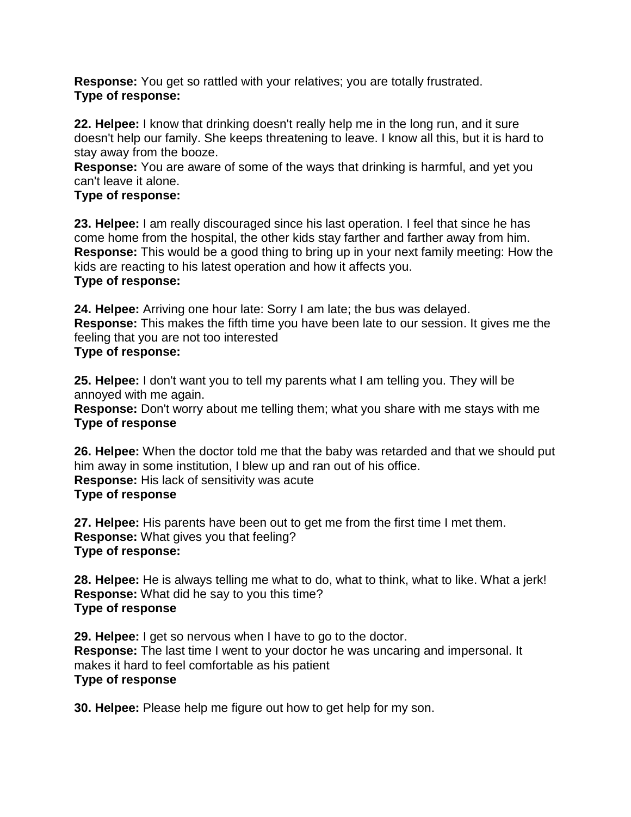**Response:** You get so rattled with your relatives; you are totally frustrated. **Type of response:**

**22. Helpee:** I know that drinking doesn't really help me in the long run, and it sure doesn't help our family. She keeps threatening to leave. I know all this, but it is hard to stay away from the booze.

**Response:** You are aware of some of the ways that drinking is harmful, and yet you can't leave it alone.

## **Type of response:**

**23. Helpee:** I am really discouraged since his last operation. I feel that since he has come home from the hospital, the other kids stay farther and farther away from him. **Response:** This would be a good thing to bring up in your next family meeting: How the kids are reacting to his latest operation and how it affects you. **Type of response:**

**24. Helpee:** Arriving one hour late: Sorry I am late; the bus was delayed. **Response:** This makes the fifth time you have been late to our session. It gives me the feeling that you are not too interested **Type of response:**

**25. Helpee:** I don't want you to tell my parents what I am telling you. They will be annoyed with me again.

**Response:** Don't worry about me telling them; what you share with me stays with me **Type of response**

**26. Helpee:** When the doctor told me that the baby was retarded and that we should put him away in some institution, I blew up and ran out of his office. **Response:** His lack of sensitivity was acute **Type of response**

**27. Helpee:** His parents have been out to get me from the first time I met them. **Response:** What gives you that feeling? **Type of response:**

**28. Helpee:** He is always telling me what to do, what to think, what to like. What a jerk! **Response:** What did he say to you this time? **Type of response**

**29. Helpee:** I get so nervous when I have to go to the doctor. **Response:** The last time I went to your doctor he was uncaring and impersonal. It makes it hard to feel comfortable as his patient **Type of response**

**30. Helpee:** Please help me figure out how to get help for my son.